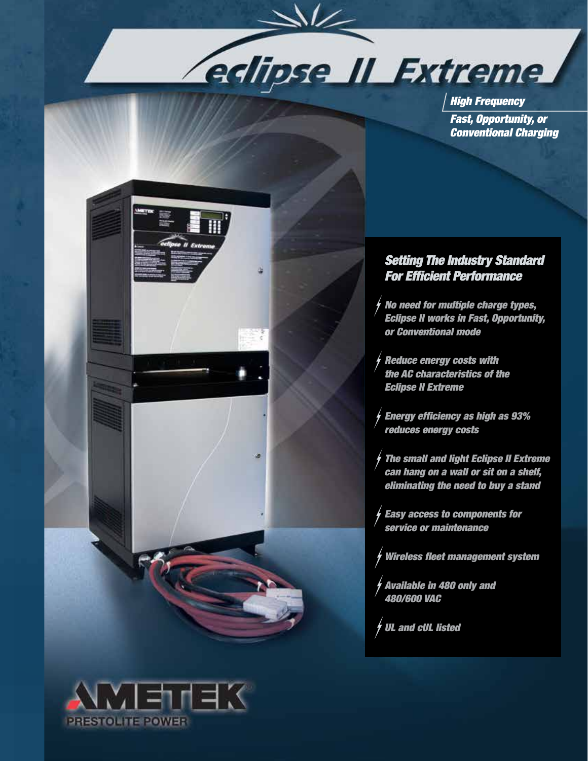

*High Frequency Fast, Opportunity, or Conventional Charging*



# *Setting The Industry Standard For Efficient Performance*

- *No need for multiple charge types, Eclipse II works in Fast, Opportunity, or Conventional mode*
- *Reduce energy costs with the AC characteristics of the Eclipse II Extreme*
- *Energy efficiency as high as 93% reduces energy costs*
- *The small and light Eclipse II Extreme can hang on a wall or sit on a shelf, eliminating the need to buy a stand*
- *Easy access to components for service or maintenance*
- *Wireless fleet management system*
- *Available in 480 only and 480/600 VAC*

*UL and cUL listed*

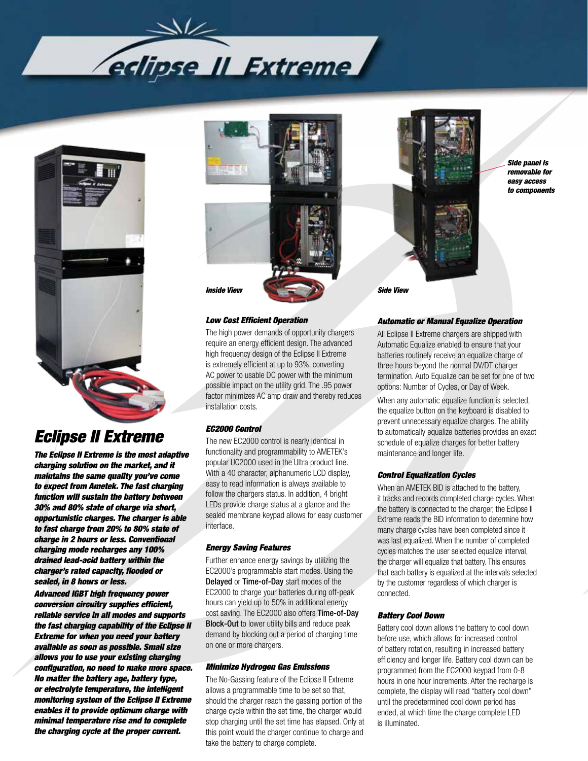



# *Eclipse II Extreme*

*The Eclipse II Extreme is the most adaptive charging solution on the market, and it maintains the same quality you've come to expect from Ametek. The fast charging function will sustain the battery between 30% and 80% state of charge via short, opportunistic charges. The charger is able to fast charge from 20% to 80% state of charge in 2 hours or less. Conventional charging mode recharges any 100% drained lead-acid battery within the charger's rated capacity, flooded or sealed, in 8 hours or less.* 

*Advanced IGBT high frequency power conversion circuitry supplies efficient, reliable service in all modes and supports the fast charging capability of the Eclipse II Extreme for when you need your battery available as soon as possible. Small size allows you to use your existing charging configuration, no need to make more space. No matter the battery age, battery type, or electrolyte temperature, the intelligent monitoring system of the Eclipse II Extreme enables it to provide optimum charge with minimal temperature rise and to complete the charging cycle at the proper current.* 



#### *Low Cost Efficient Operation*

The high power demands of opportunity chargers require an energy efficient design. The advanced high frequency design of the Eclipse II Extreme is extremely efficient at up to 93%, converting AC power to usable DC power with the minimum possible impact on the utility grid. The .95 power factor minimizes AC amp draw and thereby reduces installation costs.

### *EC2000 Control*

The new EC2000 control is nearly identical in functionality and programmability to AMETEK's popular UC2000 used in the Ultra product line. With a 40 character, alphanumeric LCD display, easy to read information is always available to follow the chargers status. In addition, 4 bright LEDs provide charge status at a glance and the sealed membrane keypad allows for easy customer interface.

## *Energy Saving Features*

Further enhance energy savings by utilizing the EC2000's programmable start modes. Using the Delayed or Time-of-Day start modes of the EC2000 to charge your batteries during off-peak hours can yield up to 50% in additional energy cost saving. The EC2000 also offers Time-of-Day Block-Out to lower utility bills and reduce peak demand by blocking out a period of charging time on one or more chargers.

#### *Minimize Hydrogen Gas Emissions*

The No-Gassing feature of the Eclipse II Extreme allows a programmable time to be set so that, should the charger reach the gassing portion of the charge cycle within the set time, the charger would stop charging until the set time has elapsed. Only at this point would the charger continue to charge and take the battery to charge complete.



*Side panel is removable for easy access to components*

#### *Automatic or Manual Equalize Operation*

All Eclipse II Extreme chargers are shipped with Automatic Equalize enabled to ensure that your batteries routinely receive an equalize charge of three hours beyond the normal DV/DT charger termination. Auto Equalize can be set for one of two options: Number of Cycles, or Day of Week.

When any automatic equalize function is selected, the equalize button on the keyboard is disabled to prevent unnecessary equalize charges. The ability to automatically equalize batteries provides an exact schedule of equalize charges for better battery maintenance and longer life.

#### *Control Equalization Cycles*

When an AMETEK BID is attached to the battery, it tracks and records completed charge cycles. When the battery is connected to the charger, the Eclipse II Extreme reads the BID information to determine how many charge cycles have been completed since it was last equalized. When the number of completed cycles matches the user selected equalize interval, the charger will equalize that battery. This ensures that each battery is equalized at the intervals selected by the customer regardless of which charger is connected.

#### *Battery Cool Down*

Battery cool down allows the battery to cool down before use, which allows for increased control of battery rotation, resulting in increased battery efficiency and longer life. Battery cool down can be programmed from the EC2000 keypad from 0-8 hours in one hour increments. After the recharge is complete, the display will read "battery cool down" until the predetermined cool down period has ended, at which time the charge complete LED is illuminated.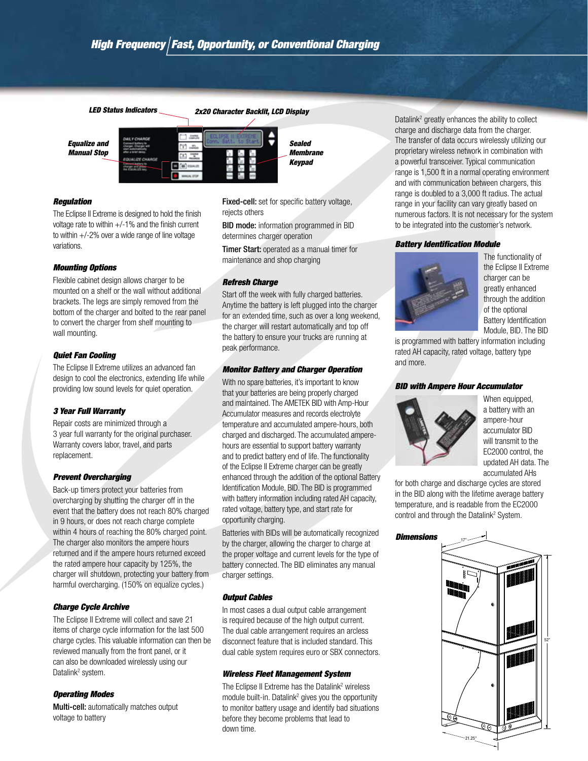![](_page_2_Figure_2.jpeg)

![](_page_2_Figure_3.jpeg)

#### *Regulation*

The Eclipse II Extreme is designed to hold the finish voltage rate to within +/-1% and the finish current to within  $+/-2\%$  over a wide range of line voltage variations.

#### *Mounting Options*

Flexible cabinet design allows charger to be mounted on a shelf or the wall without additional brackets. The legs are simply removed from the bottom of the charger and bolted to the rear panel to convert the charger from shelf mounting to wall mounting.

#### *Quiet Fan Cooling*

The Eclipse II Extreme utilizes an advanced fan design to cool the electronics, extending life while providing low sound levels for quiet operation.

#### *3 Year Full Warranty*

Repair costs are minimized through a 3 year full warranty for the original purchaser. Warranty covers labor, travel, and parts replacement.

#### *Prevent Overcharging*

Back-up timers protect your batteries from overcharging by shutting the charger off in the event that the battery does not reach 80% charged in 9 hours, or does not reach charge complete within 4 hours of reaching the 80% charged point. The charger also monitors the ampere hours returned and if the ampere hours returned exceed the rated ampere hour capacity by 125%, the charger will shutdown, protecting your battery from harmful overcharging. (150% on equalize cycles.)

#### *Charge Cycle Archive*

The Eclipse II Extreme will collect and save 21 items of charge cycle information for the last 500 charge cycles. This valuable information can then be reviewed manually from the front panel, or it can also be downloaded wirelessly using our Datalink<sup>2</sup> system.

#### *Operating Modes*

Multi-cell: automatically matches output voltage to battery

Fixed-cell: set for specific battery voltage, rejects others

BID mode: information programmed in BID determines charger operation

Timer Start: operated as a manual timer for maintenance and shop charging

#### *Refresh Charge*

Start off the week with fully charged batteries. Anytime the battery is left plugged into the charger for an extended time, such as over a long weekend, the charger will restart automatically and top off the battery to ensure your trucks are running at peak performance.

#### *Monitor Battery and Charger Operation*

With no spare batteries, it's important to know that your batteries are being properly charged and maintained. The AMETEK BID with Amp-Hour Accumulator measures and records electrolyte temperature and accumulated ampere-hours, both charged and discharged. The accumulated amperehours are essential to support battery warranty and to predict battery end of life. The functionality of the Eclipse II Extreme charger can be greatly enhanced through the addition of the optional Battery Identification Module, BID. The BID is programmed with battery information including rated AH capacity, rated voltage, battery type, and start rate for opportunity charging.

Batteries with BIDs will be automatically recognized by the charger, allowing the charger to charge at the proper voltage and current levels for the type of battery connected. The BID eliminates any manual charger settings.

#### *Output Cables*

In most cases a dual output cable arrangement is required because of the high output current. The dual cable arrangement requires an arcless disconnect feature that is included standard. This dual cable system requires euro or SBX connectors.

#### *Wireless Fleet Management System*

The Eclipse II Extreme has the Datalink<sup>2</sup> wireless module built-in. Datalink<sup>2</sup> gives you the opportunity to monitor battery usage and identify bad situations before they become problems that lead to down time.

Datalink<sup>2</sup> greatly enhances the ability to collect charge and discharge data from the charger. The transfer of data occurs wirelessly utilizing our proprietary wireless network in combination with a powerful transceiver. Typical communication range is 1,500 ft in a normal operating environment and with communication between chargers, this range is doubled to a 3,000 ft radius. The actual range in your facility can vary greatly based on numerous factors. It is not necessary for the system to be integrated into the customer's network.

#### *Battery Identification Module*

![](_page_2_Picture_32.jpeg)

The functionality of the Eclipse II Extreme charger can be greatly enhanced through the addition of the optional Battery Identification Module, BID. The BID

is programmed with battery information including rated AH capacity, rated voltage, battery type and more.

#### *BID with Ampere Hour Accumulator*

![](_page_2_Picture_36.jpeg)

When equipped. a battery with an ampere-hour accumulator BID will transmit to the EC2000 control, the updated AH data. The accumulated AHs

for both charge and discharge cycles are stored in the BID along with the lifetime average battery temperature, and is readable from the EC2000 control and through the Datalink<sup>2</sup> System.

![](_page_2_Picture_39.jpeg)